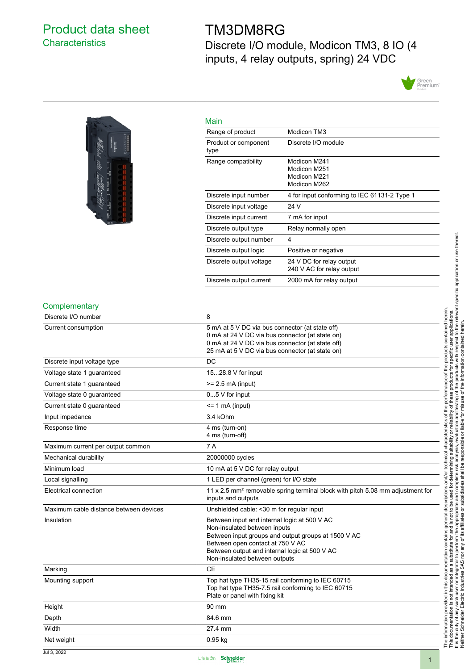## <span id="page-0-0"></span>Product data sheet **Characteristics**

# TM3DM8RG

Discrete I/O module, Modicon TM3, 8 IO (4 inputs, 4 relay outputs, spring) 24 VDC





| × | __ |  |
|---|----|--|

| Main                         |                                                              |
|------------------------------|--------------------------------------------------------------|
| Range of product             | Modicon TM3                                                  |
| Product or component<br>type | Discrete I/O module                                          |
| Range compatibility          | Modicon M241<br>Modicon M251<br>Modicon M221<br>Modicon M262 |
| Discrete input number        | 4 for input conforming to IEC 61131-2 Type 1                 |
| Discrete input voltage       | 24 V                                                         |
| Discrete input current       | 7 mA for input                                               |
| Discrete output type         | Relay normally open                                          |
| Discrete output number       | 4                                                            |
| Discrete output logic        | Positive or negative                                         |
| Discrete output voltage      | 24 V DC for relay output<br>240 V AC for relay output        |
| Discrete output current      | 2000 mA for relay output                                     |

#### **Complementary**

| Discrete I/O number                    | 8                                                                                          |
|----------------------------------------|--------------------------------------------------------------------------------------------|
| Current consumption                    | 5 mA at 5 V DC via bus connector (at state off)                                            |
|                                        | 0 mA at 24 V DC via bus connector (at state on)                                            |
|                                        | 0 mA at 24 V DC via bus connector (at state off)                                           |
|                                        | 25 mA at 5 V DC via bus connector (at state on)                                            |
| Discrete input voltage type            | DC                                                                                         |
| Voltage state 1 guaranteed             | 1528.8 V for input                                                                         |
| Current state 1 guaranteed             | $>= 2.5$ mA (input)                                                                        |
| Voltage state 0 guaranteed             | $05$ V for input                                                                           |
| Current state 0 guaranteed             | $= 1$ mA (input)                                                                           |
| Input impedance                        | 3.4 kOhm                                                                                   |
| Response time                          | 4 ms (turn-on)                                                                             |
|                                        | 4 ms (turn-off)                                                                            |
| Maximum current per output common      | 7 A                                                                                        |
| Mechanical durability                  | 20000000 cycles                                                                            |
| Minimum load                           | 10 mA at 5 V DC for relay output                                                           |
| Local signalling                       | 1 LED per channel (green) for I/O state                                                    |
| Electrical connection                  | 11 x 2.5 mm <sup>2</sup> removable spring terminal block with pitch 5.08 mm adjustment for |
|                                        | inputs and outputs                                                                         |
| Maximum cable distance between devices | Unshielded cable: < 30 m for regular input                                                 |
| Insulation                             | Between input and internal logic at 500 V AC                                               |
|                                        | Non-insulated between inputs                                                               |
|                                        | Between input groups and output groups at 1500 V AC                                        |
|                                        | Between open contact at 750 V AC                                                           |
|                                        | Between output and internal logic at 500 V AC                                              |
|                                        | Non-insulated between outputs                                                              |
| Marking                                | <b>CE</b>                                                                                  |
| Mounting support                       | Top hat type TH35-15 rail conforming to IEC 60715                                          |
|                                        | Top hat type TH35-7.5 rail conforming to IEC 60715                                         |
|                                        | Plate or panel with fixing kit                                                             |
| Height                                 | 90 mm                                                                                      |
| Depth                                  | 84.6 mm                                                                                    |
| Width                                  | 27.4 mm                                                                                    |
| Net weight                             | $0.95$ kg                                                                                  |
|                                        |                                                                                            |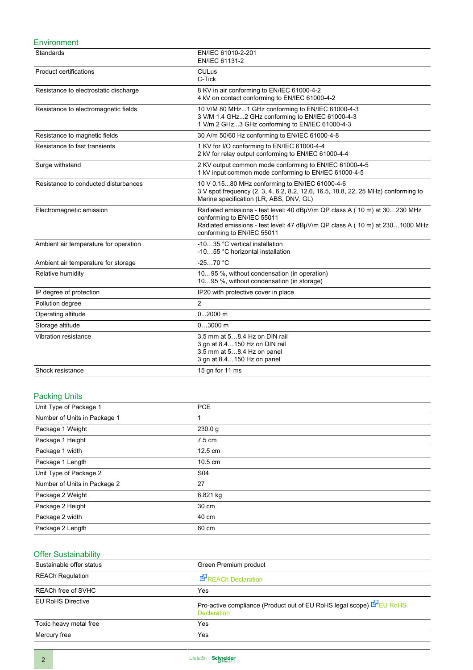#### **Environment**

| Standards                             | EN/IEC 61010-2-201<br>EN/IEC 61131-2                                                                                                                                                                                  |
|---------------------------------------|-----------------------------------------------------------------------------------------------------------------------------------------------------------------------------------------------------------------------|
| <b>Product certifications</b>         | <b>CULus</b><br>C-Tick                                                                                                                                                                                                |
| Resistance to electrostatic discharge | 8 KV in air conforming to EN/IEC 61000-4-2<br>4 kV on contact conforming to EN/IEC 61000-4-2                                                                                                                          |
| Resistance to electromagnetic fields  | 10 V/M 80 MHz1 GHz conforming to EN/IEC 61000-4-3<br>3 V/M 1.4 GHz2 GHz conforming to EN/IEC 61000-4-3<br>1 V/m 2 GHz3 GHz conforming to EN/IEC 61000-4-3                                                             |
| Resistance to magnetic fields         | 30 A/m 50/60 Hz conforming to EN/IEC 61000-4-8                                                                                                                                                                        |
| Resistance to fast transients         | 1 KV for I/O conforming to EN/IEC 61000-4-4<br>2 kV for relay output conforming to EN/IEC 61000-4-4                                                                                                                   |
| Surge withstand                       | 2 KV output common mode conforming to EN/IEC 61000-4-5<br>1 kV input common mode conforming to EN/IEC 61000-4-5                                                                                                       |
| Resistance to conducted disturbances  | 10 V 0.1580 MHz conforming to EN/IEC 61000-4-6<br>3 V spot frequency (2, 3, 4, 6.2, 8.2, 12.6, 16.5, 18.8, 22, 25 MHz) conforming to<br>Marine specification (LR, ABS, DNV, GL)                                       |
| Electromagnetic emission              | Radiated emissions - test level: 40 dBµV/m QP class A ( 10 m) at 30230 MHz<br>conforming to EN/IEC 55011<br>Radiated emissions - test level: 47 dBµV/m QP class A (10 m) at 2301000 MHz<br>conforming to EN/IEC 55011 |
| Ambient air temperature for operation | -1035 °C vertical installation<br>-1055 °C horizontal installation                                                                                                                                                    |
| Ambient air temperature for storage   | $-2570 °C$                                                                                                                                                                                                            |
| Relative humidity                     | 1095 %, without condensation (in operation)<br>1095 %, without condensation (in storage)                                                                                                                              |
| IP degree of protection               | IP20 with protective cover in place                                                                                                                                                                                   |
| Pollution degree                      | $\overline{2}$                                                                                                                                                                                                        |
| Operating altitude                    | $02000$ m                                                                                                                                                                                                             |
| Storage altitude                      | $03000$ m                                                                                                                                                                                                             |
| Vibration resistance                  | 3.5 mm at 58.4 Hz on DIN rail<br>3 gn at 8.4150 Hz on DIN rail<br>3.5 mm at 58.4 Hz on panel<br>3 gn at 8.4150 Hz on panel                                                                                            |
| Shock resistance                      | 15 gn for 11 ms                                                                                                                                                                                                       |

### Packing Units

| ີ                            |                   |
|------------------------------|-------------------|
| Unit Type of Package 1       | <b>PCE</b>        |
| Number of Units in Package 1 |                   |
| Package 1 Weight             | 230.0 g           |
| Package 1 Height             | $7.5 \text{ cm}$  |
| Package 1 width              | $12.5 \text{ cm}$ |
| Package 1 Length             | $10.5 \text{ cm}$ |
| Unit Type of Package 2       | S04               |
| Number of Units in Package 2 | 27                |
| Package 2 Weight             | 6.821 kg          |
| Package 2 Height             | 30 cm             |
| Package 2 width              | 40 cm             |
| Package 2 Length             | 60 cm             |

## Offer Sustainability

| Sustainable offer status | Green Premium product                                                                      |
|--------------------------|--------------------------------------------------------------------------------------------|
| <b>REACh Regulation</b>  | REACh Declaration                                                                          |
| REACh free of SVHC       | Yes                                                                                        |
| <b>EU RoHS Directive</b> | Pro-active compliance (Product out of EU RoHS legal scope) E EU RoHS<br><b>Declaration</b> |
| Toxic heavy metal free   | Yes                                                                                        |
| Mercury free             | Yes                                                                                        |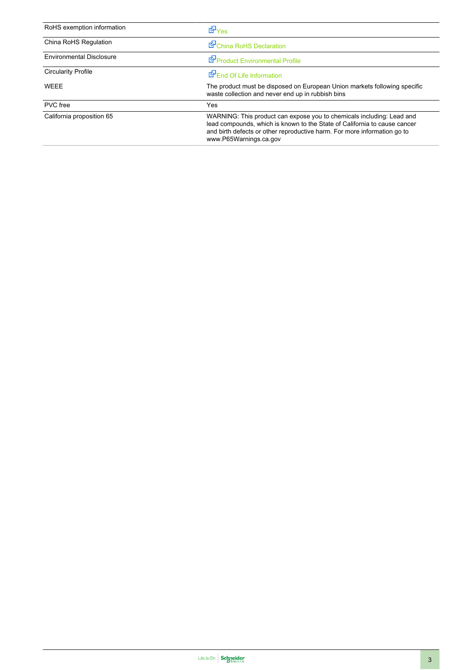| RoHS exemption information      | <b>E</b> Yes                                                                                                                                                                                                                                             |
|---------------------------------|----------------------------------------------------------------------------------------------------------------------------------------------------------------------------------------------------------------------------------------------------------|
| China RoHS Regulation           | China RoHS Declaration                                                                                                                                                                                                                                   |
| <b>Environmental Disclosure</b> | Product Environmental Profile                                                                                                                                                                                                                            |
| <b>Circularity Profile</b>      | End Of Life Information                                                                                                                                                                                                                                  |
| WEEE                            | The product must be disposed on European Union markets following specific<br>waste collection and never end up in rubbish bins                                                                                                                           |
| PVC free                        | Yes                                                                                                                                                                                                                                                      |
| California proposition 65       | WARNING: This product can expose you to chemicals including: Lead and<br>lead compounds, which is known to the State of California to cause cancer<br>and birth defects or other reproductive harm. For more information go to<br>www.P65Warnings.ca.gov |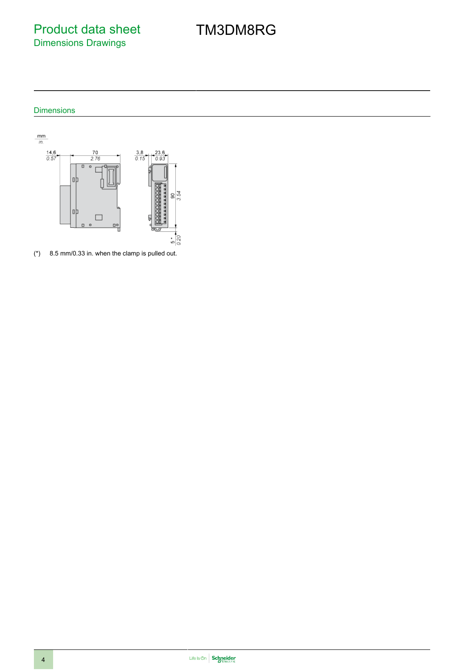Product data sheet Dimensions Drawings

# TM3DM8RG

### Dimensions



(\*) 8.5 mm/0.33 in. when the clamp is pulled out.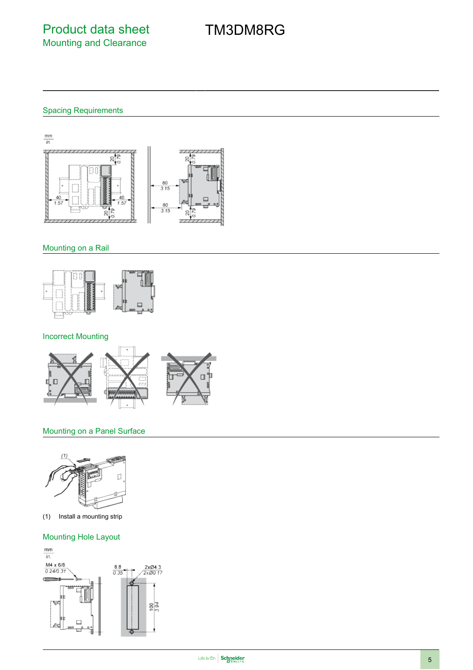# TM3DM8RG

## Spacing Requirements



### Mounting on a Rail



### Incorrect Mounting



### Mounting on a Panel Surface



(1) Install a mounting strip

### Mounting Hole Layout